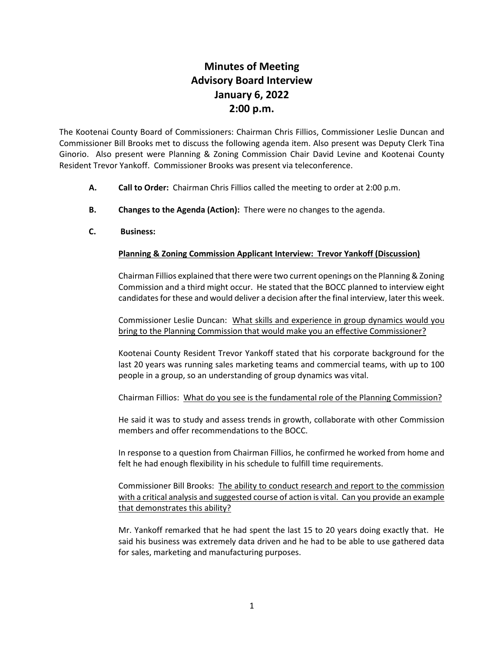# **Minutes of Meeting Advisory Board Interview January 6, 2022 2:00 p.m.**

The Kootenai County Board of Commissioners: Chairman Chris Fillios, Commissioner Leslie Duncan and Commissioner Bill Brooks met to discuss the following agenda item. Also present was Deputy Clerk Tina Ginorio. Also present were Planning & Zoning Commission Chair David Levine and Kootenai County Resident Trevor Yankoff. Commissioner Brooks was present via teleconference.

- **A. Call to Order:** Chairman Chris Fillios called the meeting to order at 2:00 p.m.
- **B. Changes to the Agenda (Action):** There were no changes to the agenda.
- **C. Business:**

## **Planning & Zoning Commission Applicant Interview: Trevor Yankoff (Discussion)**

Chairman Fillios explained that there were two current openings on the Planning & Zoning Commission and a third might occur. He stated that the BOCC planned to interview eight candidates for these and would deliver a decision after the final interview, later this week.

Commissioner Leslie Duncan: What skills and experience in group dynamics would you bring to the Planning Commission that would make you an effective Commissioner?

Kootenai County Resident Trevor Yankoff stated that his corporate background for the last 20 years was running sales marketing teams and commercial teams, with up to 100 people in a group, so an understanding of group dynamics was vital.

Chairman Fillios: What do you see is the fundamental role of the Planning Commission?

He said it was to study and assess trends in growth, collaborate with other Commission members and offer recommendations to the BOCC.

In response to a question from Chairman Fillios, he confirmed he worked from home and felt he had enough flexibility in his schedule to fulfill time requirements.

Commissioner Bill Brooks: The ability to conduct research and report to the commission with a critical analysis and suggested course of action is vital. Can you provide an example that demonstrates this ability?

Mr. Yankoff remarked that he had spent the last 15 to 20 years doing exactly that. He said his business was extremely data driven and he had to be able to use gathered data for sales, marketing and manufacturing purposes.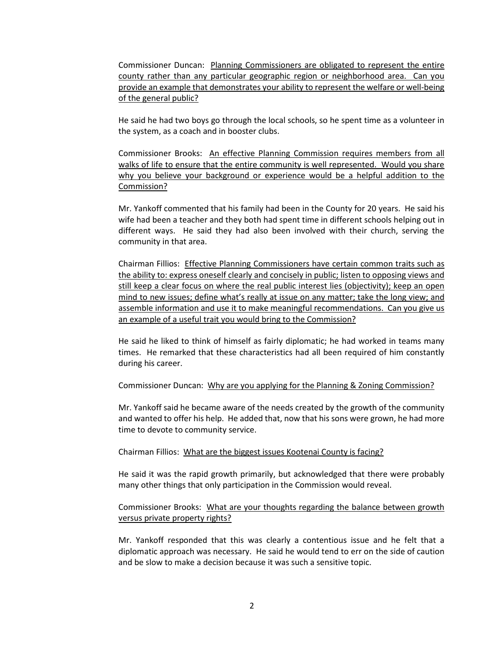Commissioner Duncan: Planning Commissioners are obligated to represent the entire county rather than any particular geographic region or neighborhood area. Can you provide an example that demonstrates your ability to represent the welfare or well-being of the general public?

He said he had two boys go through the local schools, so he spent time as a volunteer in the system, as a coach and in booster clubs.

Commissioner Brooks: An effective Planning Commission requires members from all walks of life to ensure that the entire community is well represented. Would you share why you believe your background or experience would be a helpful addition to the Commission?

Mr. Yankoff commented that his family had been in the County for 20 years. He said his wife had been a teacher and they both had spent time in different schools helping out in different ways. He said they had also been involved with their church, serving the community in that area.

Chairman Fillios: Effective Planning Commissioners have certain common traits such as the ability to: express oneself clearly and concisely in public; listen to opposing views and still keep a clear focus on where the real public interest lies (objectivity); keep an open mind to new issues; define what's really at issue on any matter; take the long view; and assemble information and use it to make meaningful recommendations. Can you give us an example of a useful trait you would bring to the Commission?

He said he liked to think of himself as fairly diplomatic; he had worked in teams many times. He remarked that these characteristics had all been required of him constantly during his career.

Commissioner Duncan: Why are you applying for the Planning & Zoning Commission?

Mr. Yankoff said he became aware of the needs created by the growth of the community and wanted to offer his help. He added that, now that his sons were grown, he had more time to devote to community service.

#### Chairman Fillios: What are the biggest issues Kootenai County is facing?

He said it was the rapid growth primarily, but acknowledged that there were probably many other things that only participation in the Commission would reveal.

## Commissioner Brooks: What are your thoughts regarding the balance between growth versus private property rights?

Mr. Yankoff responded that this was clearly a contentious issue and he felt that a diplomatic approach was necessary. He said he would tend to err on the side of caution and be slow to make a decision because it was such a sensitive topic.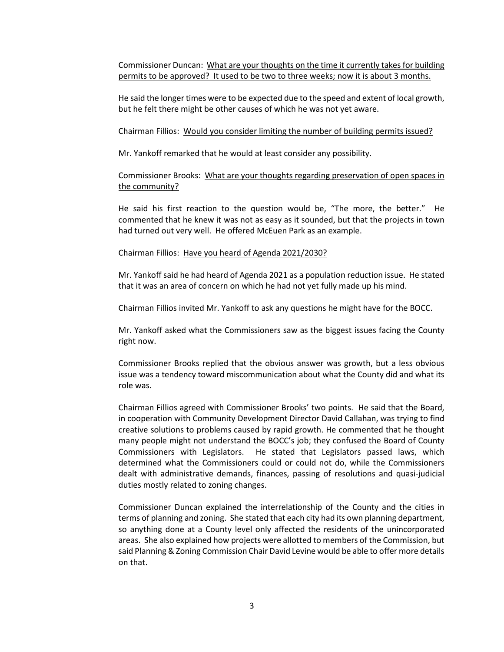Commissioner Duncan: What are your thoughts on the time it currently takes for building permits to be approved? It used to be two to three weeks; now it is about 3 months.

He said the longer times were to be expected due to the speed and extent of local growth, but he felt there might be other causes of which he was not yet aware.

### Chairman Fillios: Would you consider limiting the number of building permits issued?

Mr. Yankoff remarked that he would at least consider any possibility.

## Commissioner Brooks: What are your thoughts regarding preservation of open spaces in the community?

He said his first reaction to the question would be, "The more, the better." He commented that he knew it was not as easy as it sounded, but that the projects in town had turned out very well. He offered McEuen Park as an example.

### Chairman Fillios: Have you heard of Agenda 2021/2030?

Mr. Yankoff said he had heard of Agenda 2021 as a population reduction issue. He stated that it was an area of concern on which he had not yet fully made up his mind.

Chairman Fillios invited Mr. Yankoff to ask any questions he might have for the BOCC.

Mr. Yankoff asked what the Commissioners saw as the biggest issues facing the County right now.

Commissioner Brooks replied that the obvious answer was growth, but a less obvious issue was a tendency toward miscommunication about what the County did and what its role was.

Chairman Fillios agreed with Commissioner Brooks' two points. He said that the Board, in cooperation with Community Development Director David Callahan, was trying to find creative solutions to problems caused by rapid growth. He commented that he thought many people might not understand the BOCC's job; they confused the Board of County Commissioners with Legislators. He stated that Legislators passed laws, which determined what the Commissioners could or could not do, while the Commissioners dealt with administrative demands, finances, passing of resolutions and quasi-judicial duties mostly related to zoning changes.

Commissioner Duncan explained the interrelationship of the County and the cities in terms of planning and zoning. She stated that each city had its own planning department, so anything done at a County level only affected the residents of the unincorporated areas. She also explained how projects were allotted to members of the Commission, but said Planning & Zoning Commission Chair David Levine would be able to offer more details on that.